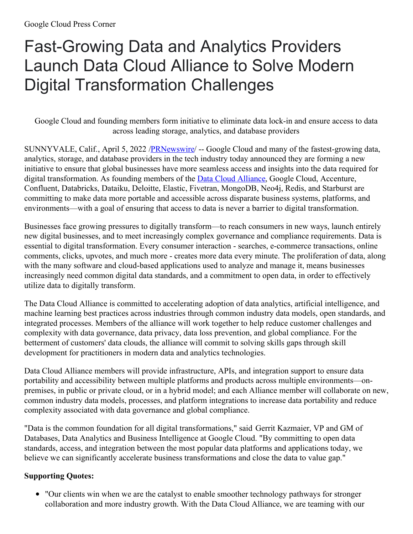## Fast-Growing Data and Analytics Providers Launch Data Cloud Alliance to Solve Modern Digital Transformation Challenges

Google Cloud and founding members form initiative to eliminate data lock-in and ensure access to data across leading storage, analytics, and database providers

SUNNYVALE, Calif., April 5, 2022 [/PRNewswire](http://www.prnewswire.com/)/ -- Google Cloud and many of the fastest-growing data, analytics, storage, and database providers in the tech industry today announced they are forming a new initiative to ensure that global businesses have more seamless access and insights into the data required for digital transformation. As founding members of the **Data Cloud [Alliance](https://c212.net/c/link/?t=0&l=en&o=3495310-1&h=2853794207&u=https%3A%2F%2Fcloud.google.com%2Fsolutions%2Fdata-cloud-alliance&a=Data+Cloud+Alliance)**, Google Cloud, Accenture, Confluent, Databricks, Dataiku, Deloitte, Elastic, Fivetran, MongoDB, Neo4j, Redis, and Starburst are committing to make data more portable and accessible across disparate business systems, platforms, and environments—with a goal of ensuring that access to data is never a barrier to digital transformation.

Businesses face growing pressures to digitally transform—to reach consumers in new ways, launch entirely new digital businesses, and to meet increasingly complex governance and compliance requirements. Data is essential to digital transformation. Every consumer interaction - searches, e-commerce transactions, online comments, clicks, upvotes, and much more - creates more data every minute. The proliferation of data, along with the many software and cloud-based applications used to analyze and manage it, means businesses increasingly need common digital data standards, and a commitment to open data, in order to effectively utilize data to digitally transform.

The Data Cloud Alliance is committed to accelerating adoption of data analytics, artificial intelligence, and machine learning best practices across industries through common industry data models, open standards, and integrated processes. Members of the alliance will work together to help reduce customer challenges and complexity with data governance, data privacy, data loss prevention, and global compliance. For the betterment of customers' data clouds, the alliance will commit to solving skills gaps through skill development for practitioners in modern data and analytics technologies.

Data Cloud Alliance members will provide infrastructure, APIs, and integration support to ensure data portability and accessibility between multiple platforms and products across multiple environments—onpremises, in public or private cloud, or in a hybrid model; and each Alliance member will collaborate on new, common industry data models, processes, and platform integrations to increase data portability and reduce complexity associated with data governance and global compliance.

"Data is the common foundation for all digital transformations," said Gerrit Kazmaier, VP and GM of Databases, Data Analytics and Business Intelligence at Google Cloud. "By committing to open data standards, access, and integration between the most popular data platforms and applications today, we believe we can significantly accelerate business transformations and close the data to value gap."

## **Supporting Quotes:**

• "Our clients win when we are the catalyst to enable smoother technology pathways for stronger collaboration and more industry growth. With the Data Cloud Alliance, we are teaming with our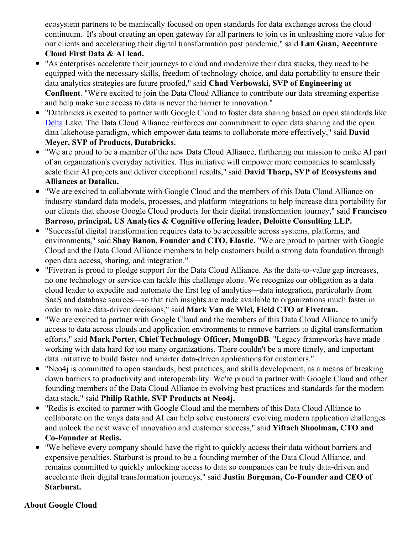ecosystem partners to be maniacally focused on open standards for data exchange across the cloud continuum. It's about creating an open gateway for all partners to join us in unleashing more value for our clients and accelerating their digital transformation post pandemic," said **Lan Guan, Accenture Cloud First Data & AI lead.**

- "As enterprises accelerate their journeys to cloud and modernize their data stacks, they need to be equipped with the necessary skills, freedom of technology choice, and data portability to ensure their data analytics strategies are future proofed," said **Chad Verbowski, SVP of Engineering at Confluent**. "We're excited to join the Data Cloud Alliance to contribute our data streaming expertise and help make sure access to data is never the barrier to innovation."
- "Databricks is excited to partner with Google Cloud to foster data sharing based on open standards like  $\bullet$ [Delta](https://c212.net/c/link/?t=0&l=en&o=3495310-1&h=3199687617&u=https%3A%2F%2Fdelta.io%2F&a=Delta) Lake. The Data Cloud Alliance reinforces our commitment to open data sharing and the open data lakehouse paradigm, which empower data teams to collaborate more effectively," said **David Meyer, SVP of Products, Databricks.**
- "We are proud to be a member of the new Data Cloud Alliance, furthering our mission to make AI part of an organization's everyday activities. This initiative will empower more companies to seamlessly scale their AI projects and deliver exceptional results," said **David Tharp, SVP of Ecosystems and Alliances at Dataiku.**
- "We are excited to collaborate with Google Cloud and the members of this Data Cloud Alliance on industry standard data models, processes, and platform integrations to help increase data portability for our clients that choose Google Cloud products for their digital transformation journey," said **Francisco Barroso, principal, US Analytics & Cognitive offering leader, Deloitte Consulting LLP.**
- "Successful digital transformation requires data to be accessible across systems, platforms, and environments," said **Shay Banon, Founder and CTO, Elastic.** "We are proud to partner with Google Cloud and the Data Cloud Alliance members to help customers build a strong data foundation through open data access, sharing, and integration."
- $\bullet$ "Fivetran is proud to pledge support for the Data Cloud Alliance. As the data-to-value gap increases, no one technology or service can tackle this challenge alone. We recognize our obligation as a data cloud leader to expedite and automate the first leg of analytics—data integration, particularly from SaaS and database sources—so that rich insights are made available to organizations much faster in order to make data-driven decisions," said **Mark Van de Wiel, Field CTO at Fivetran.**
- "We are excited to partner with Google Cloud and the members of this Data Cloud Alliance to unify access to data across clouds and application environments to remove barriers to digital transformation efforts," said **Mark Porter, Chief Technology Officer, MongoDB**. "Legacy frameworks have made working with data hard for too many organizations. There couldn't be a more timely, and important data initiative to build faster and smarter data-driven applications for customers."
- "Neo4j is committed to open standards, best practices, and skills development, as a means of breaking down barriers to productivity and interoperability. We're proud to partner with Google Cloud and other founding members of the Data Cloud Alliance in evolving best practices and standards for the modern data stack," said **Philip Rathle, SVP Products at Neo4j.**
- "Redis is excited to partner with Google Cloud and the members of this Data Cloud Alliance to collaborate on the ways data and AI can help solve customers' evolving modern application challenges and unlock the next wave of innovation and customer success," said **Yiftach Shoolman, CTO and Co-Founder at Redis.**
- "We believe every company should have the right to quickly access their data without barriers and expensive penalties. Starburst is proud to be a founding member of the Data Cloud Alliance, and remains committed to quickly unlocking access to data so companies can be truly data-driven and accelerate their digital transformation journeys," said **Justin Borgman, Co-Founder and CEO of Starburst.**